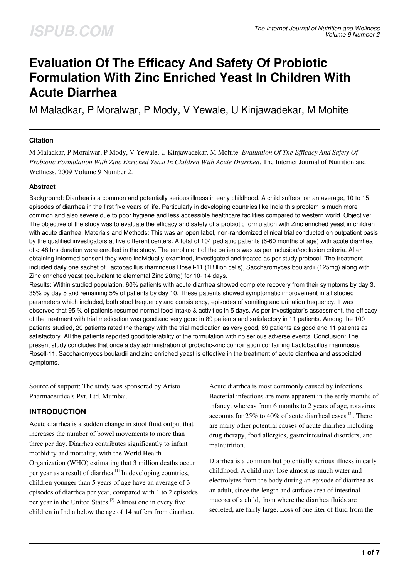# **Evaluation Of The Efficacy And Safety Of Probiotic Formulation With Zinc Enriched Yeast In Children With Acute Diarrhea**

M Maladkar, P Moralwar, P Mody, V Yewale, U Kinjawadekar, M Mohite

#### **Citation**

M Maladkar, P Moralwar, P Mody, V Yewale, U Kinjawadekar, M Mohite. *Evaluation Of The Efficacy And Safety Of Probiotic Formulation With Zinc Enriched Yeast In Children With Acute Diarrhea*. The Internet Journal of Nutrition and Wellness. 2009 Volume 9 Number 2.

#### **Abstract**

Background: Diarrhea is a common and potentially serious illness in early childhood. A child suffers, on an average, 10 to 15 episodes of diarrhea in the first five years of life. Particularly in developing countries like India this problem is much more common and also severe due to poor hygiene and less accessible healthcare facilities compared to western world. Objective: The objective of the study was to evaluate the efficacy and safety of a probiotic formulation with Zinc enriched yeast in children with acute diarrhea. Materials and Methods: This was an open label, non-randomized clinical trial conducted on outpatient basis by the qualified investigators at five different centers. A total of 104 pediatric patients (6-60 months of age) with acute diarrhea of < 48 hrs duration were enrolled in the study. The enrollment of the patients was as per inclusion/exclusion criteria. After obtaining informed consent they were individually examined, investigated and treated as per study protocol. The treatment included daily one sachet of Lactobacillus rhamnosus Rosell-11 (1Billion cells), Saccharomyces boulardii (125mg) along with Zinc enriched yeast (equivalent to elemental Zinc 20mg) for 10- 14 days.

Results: Within studied population, 60% patients with acute diarrhea showed complete recovery from their symptoms by day 3, 35% by day 5 and remaining 5% of patients by day 10. These patients showed symptomatic improvement in all studied parameters which included, both stool frequency and consistency, episodes of vomiting and urination frequency. It was observed that 95 % of patients resumed normal food intake & activities in 5 days. As per investigator's assessment, the efficacy of the treatment with trial medication was good and very good in 89 patients and satisfactory in 11 patients. Among the 100 patients studied, 20 patients rated the therapy with the trial medication as very good, 69 patients as good and 11 patients as satisfactory. All the patients reported good tolerability of the formulation with no serious adverse events. Conclusion: The present study concludes that once a day administration of probiotic-zinc combination containing Lactobacillus rhamnosus Rosell-11, Saccharomyces boulardii and zinc enriched yeast is effective in the treatment of acute diarrhea and associated symptoms.

Source of support: The study was sponsored by Aristo Pharmaceuticals Pvt. Ltd. Mumbai.

# **INTRODUCTION**

Acute diarrhea is a sudden change in stool fluid output that increases the number of bowel movements to more than three per day. Diarrhea contributes significantly to infant morbidity and mortality, with the World Health Organization (WHO) estimating that 3 million deaths occur per year as a result of diarrhea.[1] In developing countries, children younger than 5 years of age have an average of 3 episodes of diarrhea per year, compared with 1 to 2 episodes per year in the United States.[2] Almost one in every five children in India below the age of 14 suffers from diarrhea.

Acute diarrhea is most commonly caused by infections. Bacterial infections are more apparent in the early months of infancy, whereas from 6 months to 2 years of age, rotavirus accounts for  $25\%$  to  $40\%$  of acute diarrheal cases  $^{[3]}$ . There are many other potential causes of acute diarrhea including drug therapy, food allergies, gastrointestinal disorders, and malnutrition.

Diarrhea is a common but potentially serious illness in early childhood. A child may lose almost as much water and electrolytes from the body during an episode of diarrhea as an adult, since the length and surface area of intestinal mucosa of a child, from where the diarrhea fluids are secreted, are fairly large. Loss of one liter of fluid from the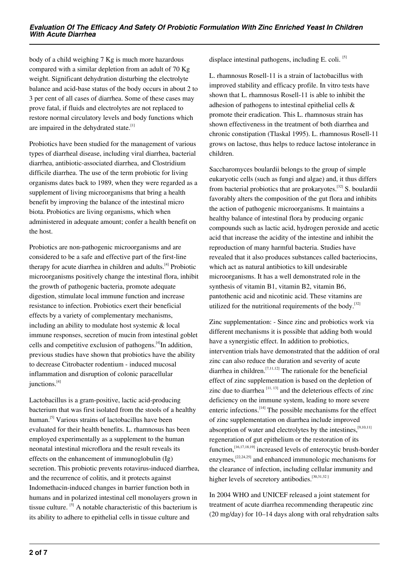body of a child weighing 7 Kg is much more hazardous compared with a similar depletion from an adult of 70 Kg weight. Significant dehydration disturbing the electrolyte balance and acid-base status of the body occurs in about 2 to 3 per cent of all cases of diarrhea. Some of these cases may prove fatal, if fluids and electrolytes are not replaced to restore normal circulatory levels and body functions which are impaired in the dehydrated state. $[1]$ 

Probiotics have been studied for the management of various types of diarrheal disease, including viral diarrhea, bacterial diarrhea, antibiotic-associated diarrhea, and Clostridium difficile diarrhea. The use of the term probiotic for living organisms dates back to 1989, when they were regarded as a supplement of living microorganisms that bring a health benefit by improving the balance of the intestinal micro biota. Probiotics are living organisms, which when administered in adequate amount; confer a health benefit on the host.

Probiotics are non-pathogenic microorganisms and are considered to be a safe and effective part of the first-line therapy for acute diarrhea in children and adults.<sup>[4]</sup> Probiotic microorganisms positively change the intestinal flora, inhibit the growth of pathogenic bacteria, promote adequate digestion, stimulate local immune function and increase resistance to infection. Probiotics exert their beneficial effects by a variety of complementary mechanisms, including an ability to modulate host systemic & local immune responses, secretion of mucin from intestinal goblet cells and competitive exclusion of pathogens.[4]In addition, previous studies have shown that probiotics have the ability to decrease Citrobacter rodentium - induced mucosal inflammation and disruption of colonic paracellular junctions.<sup>[4]</sup>

Lactobacillus is a gram-positive, lactic acid-producing bacterium that was first isolated from the stools of a healthy human.<sup>[5]</sup> Various strains of lactobacillus have been evaluated for their health benefits. L. rhamnosus has been employed experimentally as a supplement to the human neonatal intestinal microflora and the result reveals its effects on the enhancement of immunoglobulin (Ig) secretion. This probiotic prevents rotavirus-induced diarrhea, and the recurrence of colitis, and it protects against Indomethacin-induced changes in barrier function both in humans and in polarized intestinal cell monolayers grown in tissue culture. [5] A notable characteristic of this bacterium is its ability to adhere to epithelial cells in tissue culture and

displace intestinal pathogens, including E. coli. [5]

L. rhamnosus Rosell-11 is a strain of lactobacillus with improved stability and efficacy profile. In vitro tests have shown that L. rhamnosus Rosell-11 is able to inhibit the adhesion of pathogens to intestinal epithelial cells & promote their eradication. This L. rhamnosus strain has shown effectiveness in the treatment of both diarrhea and chronic constipation (Tlaskal 1995). L. rhamnosus Rosell-11 grows on lactose, thus helps to reduce lactose intolerance in children.

Saccharomyces boulardii belongs to the group of simple eukaryotic cells (such as fungi and algae) and, it thus differs from bacterial probiotics that are prokaryotes.<sup>[32]</sup> S. boulardii favorably alters the composition of the gut flora and inhibits the action of pathogenic microorganisms. It maintains a healthy balance of intestinal flora by producing organic compounds such as lactic acid, hydrogen peroxide and acetic acid that increase the acidity of the intestine and inhibit the reproduction of many harmful bacteria. Studies have revealed that it also produces substances called bacteriocins, which act as natural antibiotics to kill undesirable microorganisms. It has a well demonstrated role in the synthesis of vitamin B1, vitamin B2, vitamin B6, pantothenic acid and nicotinic acid. These vitamins are utilized for the nutritional requirements of the body.<sup>[32]</sup>

Zinc supplementation: - Since zinc and probiotics work via different mechanisms it is possible that adding both would have a synergistic effect. In addition to probiotics, intervention trials have demonstrated that the addition of oral zinc can also reduce the duration and severity of acute diarrhea in children.<sup>[7,11,12]</sup> The rationale for the beneficial effect of zinc supplementation is based on the depletion of zinc due to diarrhea  $[11, 13]$  and the deleterious effects of zinc deficiency on the immune system, leading to more severe enteric infections.  $[14]$  The possible mechanisms for the effect of zinc supplementation on diarrhea include improved absorption of water and electrolytes by the intestines,<sup>[9,10,11]</sup> regeneration of gut epithelium or the restoration of its function,<sup>[16,17,18,19]</sup> increased levels of enterocytic brush-border enzymes,<sup>[22,24,25]</sup> and enhanced immunologic mechanisms for the clearance of infection, including cellular immunity and higher levels of secretory antibodies. $[30,31,32]$ 

In 2004 WHO and UNICEF released a joint statement for treatment of acute diarrhea recommending therapeutic zinc (20 mg/day) for 10–14 days along with oral rehydration salts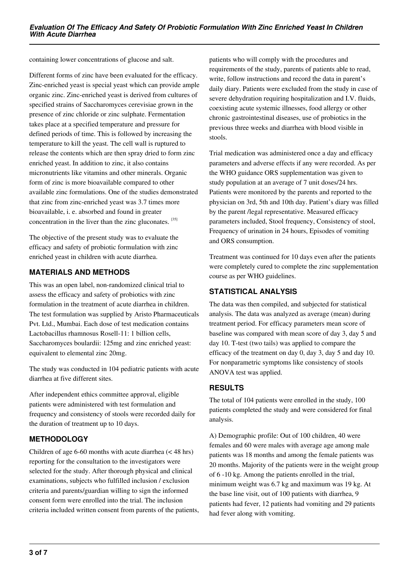containing lower concentrations of glucose and salt.

Different forms of zinc have been evaluated for the efficacy. Zinc-enriched yeast is special yeast which can provide ample organic zinc. Zinc-enriched yeast is derived from cultures of specified strains of Saccharomyces cerevisiae grown in the presence of zinc chloride or zinc sulphate. Fermentation takes place at a specified temperature and pressure for defined periods of time. This is followed by increasing the temperature to kill the yeast. The cell wall is ruptured to release the contents which are then spray dried to form zinc enriched yeast. In addition to zinc, it also contains micronutrients like vitamins and other minerals. Organic form of zinc is more bioavailable compared to other available zinc formulations. One of the studies demonstrated that zinc from zinc-enriched yeast was 3.7 times more bioavailable, i. e. absorbed and found in greater concentration in the liver than the zinc gluconates. [35]

The objective of the present study was to evaluate the efficacy and safety of probiotic formulation with zinc enriched yeast in children with acute diarrhea.

## **MATERIALS AND METHODS**

This was an open label, non-randomized clinical trial to assess the efficacy and safety of probiotics with zinc formulation in the treatment of acute diarrhea in children. The test formulation was supplied by Aristo Pharmaceuticals Pvt. Ltd., Mumbai. Each dose of test medication contains Lactobacillus rhamnosus Rosell-11: 1 billion cells, Saccharomyces boulardii: 125mg and zinc enriched yeast: equivalent to elemental zinc 20mg.

The study was conducted in 104 pediatric patients with acute diarrhea at five different sites.

After independent ethics committee approval, eligible patients were administered with test formulation and frequency and consistency of stools were recorded daily for the duration of treatment up to 10 days.

# **METHODOLOGY**

Children of age 6-60 months with acute diarrhea (< 48 hrs) reporting for the consultation to the investigators were selected for the study. After thorough physical and clinical examinations, subjects who fulfilled inclusion / exclusion criteria and parents/guardian willing to sign the informed consent form were enrolled into the trial. The inclusion criteria included written consent from parents of the patients, patients who will comply with the procedures and requirements of the study, parents of patients able to read, write, follow instructions and record the data in parent's daily diary. Patients were excluded from the study in case of severe dehydration requiring hospitalization and I.V. fluids, coexisting acute systemic illnesses, food allergy or other chronic gastrointestinal diseases, use of probiotics in the previous three weeks and diarrhea with blood visible in stools.

Trial medication was administered once a day and efficacy parameters and adverse effects if any were recorded. As per the WHO guidance ORS supplementation was given to study population at an average of 7 unit doses/24 hrs. Patients were monitored by the parents and reported to the physician on 3rd, 5th and 10th day. Patient's diary was filled by the parent /legal representative. Measured efficacy parameters included, Stool frequency, Consistency of stool, Frequency of urination in 24 hours, Episodes of vomiting and ORS consumption.

Treatment was continued for 10 days even after the patients were completely cured to complete the zinc supplementation course as per WHO guidelines.

# **STATISTICAL ANALYSIS**

The data was then compiled, and subjected for statistical analysis. The data was analyzed as average (mean) during treatment period. For efficacy parameters mean score of baseline was compared with mean score of day 3, day 5 and day 10. T-test (two tails) was applied to compare the efficacy of the treatment on day 0, day 3, day 5 and day 10. For nonparametric symptoms like consistency of stools ANOVA test was applied.

#### **RESULTS**

The total of 104 patients were enrolled in the study, 100 patients completed the study and were considered for final analysis.

A) Demographic profile: Out of 100 children, 40 were females and 60 were males with average age among male patients was 18 months and among the female patients was 20 months. Majority of the patients were in the weight group of 6 -10 kg. Among the patients enrolled in the trial, minimum weight was 6.7 kg and maximum was 19 kg. At the base line visit, out of 100 patients with diarrhea, 9 patients had fever, 12 patients had vomiting and 29 patients had fever along with vomiting.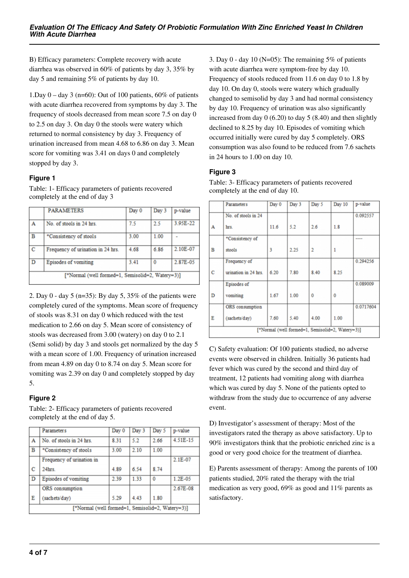B) Efficacy parameters: Complete recovery with acute diarrhea was observed in 60% of patients by day 3, 35% by day 5 and remaining 5% of patients by day 10.

1.Day  $0 - day \, 3 \, (n=60)$ : Out of 100 patients, 60% of patients with acute diarrhea recovered from symptoms by day 3. The frequency of stools decreased from mean score 7.5 on day 0 to 2.5 on day 3. On day 0 the stools were watery which returned to normal consistency by day 3. Frequency of urination increased from mean 4.68 to 6.86 on day 3. Mean score for vomiting was 3.41 on days 0 and completely stopped by day 3.

#### **Figure 1**

Table: 1- Efficacy parameters of patients recovered completely at the end of day 3

|                                                  | <b>PARAMETERS</b>                 | Day 0 | Day 3 | p-value  |  |  |
|--------------------------------------------------|-----------------------------------|-------|-------|----------|--|--|
| A                                                | No. of stools in 24 hrs.          | 7.5   | 2.5   | 3.95E-22 |  |  |
| B                                                | *Consistency of stools            | 3.00  | 1.00  |          |  |  |
| C                                                | Frequency of urination in 24 hrs. | 4.68  | 6.86  | 2.10E-07 |  |  |
| D                                                | Episodes of vomiting              | 3.41  | 0     | 2.87E-05 |  |  |
| [*Normal (well formed=1, Semisolid=2, Watery=3)] |                                   |       |       |          |  |  |

2. Day 0 - day 5 (n=35): By day 5, 35% of the patients were completely cured of the symptoms. Mean score of frequency of stools was 8.31 on day 0 which reduced with the test medication to 2.66 on day 5. Mean score of consistency of stools was decreased from 3.00 (watery) on day 0 to 2.1 (Semi solid) by day 3 and stools get normalized by the day 5 with a mean score of 1.00. Frequency of urination increased from mean 4.89 on day 0 to 8.74 on day 5. Mean score for vomiting was 2.39 on day 0 and completely stopped by day 5.

#### **Figure 2**

Table: 2- Efficacy parameters of patients recovered completely at the end of day 5.

|                                                  | <b>Parameters</b>         | Day 0 | Day 3 | Day 5    | p-value   |  |
|--------------------------------------------------|---------------------------|-------|-------|----------|-----------|--|
| A                                                | No. of stools in 24 hrs.  | 8.31  | 5.2   | 2.66     | 4.51E-15  |  |
| в                                                | *Consistency of stools    | 3.00  | 2.10  | 1.00     |           |  |
|                                                  | Frequency of urination in |       |       |          | $2.1E-07$ |  |
| с                                                | $24$ hrs.                 | 4.89  | 6.54  | 8.74     |           |  |
| D                                                | Episodes of vomiting      | 2.39  | 1.33  | $\bf{0}$ | $1.2E-05$ |  |
|                                                  | ORS consumption           |       |       |          | 2.67E-08  |  |
| E                                                | (sachets/day)             | 5.29  | 4 4 3 | 1.80     |           |  |
| [*Normal (well formed=1, Semisolid=2, Watery=3)] |                           |       |       |          |           |  |

3. Day 0 - day 10 (N=05): The remaining  $5\%$  of patients with acute diarrhea were symptom-free by day 10. Frequency of stools reduced from 11.6 on day 0 to 1.8 by day 10. On day 0, stools were watery which gradually changed to semisolid by day 3 and had normal consistency by day 10. Frequency of urination was also significantly increased from day  $0$  (6.20) to day  $5$  (8.40) and then slightly declined to 8.25 by day 10. Episodes of vomiting which occurred initially were cured by day 5 completely. ORS consumption was also found to be reduced from 7.6 sachets in 24 hours to 1.00 on day 10.

#### **Figure 3**

|                                                  | <b>Parameters</b>    | Day 0 | Day 3 | Day 5    | Day 10       | p-value   |  |
|--------------------------------------------------|----------------------|-------|-------|----------|--------------|-----------|--|
|                                                  | No. of stools in 24  |       |       |          |              | 0.092557  |  |
| А                                                | hrs.                 | 11.6  | 5.2   | 2.6      | 1.8          |           |  |
|                                                  | *Consistency of      |       |       |          |              | ----      |  |
| В                                                | stools               | 3     | 2.25  | 2        | 1            |           |  |
|                                                  | Frequency of         |       |       |          |              | 0.294256  |  |
| c                                                | urination in 24 hrs. | 6.20  | 7.80  | 8.40     | 8.25         |           |  |
|                                                  | Episodes of          |       |       |          |              | 0.089009  |  |
| D                                                | vomiting             | 1.67  | 1.00  | $\Omega$ | $\mathbf{0}$ |           |  |
|                                                  | ORS consumption      |       |       |          |              | 0.0717604 |  |
| Ε                                                | (sachets/day)        | 7.60  | 5.40  | 4.00     | 1.00         |           |  |
| [*Normal (well formed=1, Semisolid=2, Watery=3)] |                      |       |       |          |              |           |  |

Table: 3- Efficacy parameters of patients recovered completely at the end of day 10.

C) Safety evaluation: Of 100 patients studied, no adverse events were observed in children. Initially 36 patients had fever which was cured by the second and third day of treatment, 12 patients had vomiting along with diarrhea which was cured by day 5. None of the patients opted to withdraw from the study due to occurrence of any adverse event.

D) Investigator's assessment of therapy: Most of the investigators rated the therapy as above satisfactory. Up to 90% investigators think that the probiotic enriched zinc is a good or very good choice for the treatment of diarrhea.

E) Parents assessment of therapy: Among the parents of 100 patients studied, 20% rated the therapy with the trial medication as very good, 69% as good and 11% parents as satisfactory.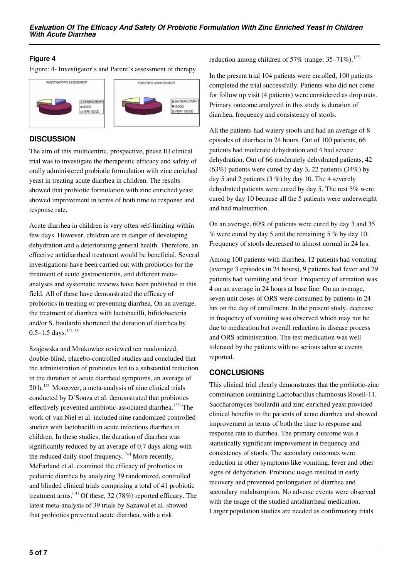### **Figure 4**

Figure: 4- Investigator's and Parent's assessment of therapy



# **DISCUSSION**

The aim of this multicentric, prospective, phase III clinical trial was to investigate the therapeutic efficacy and safety of orally administered probiotic formulation with zinc enriched yeast in treating acute diarrhea in children. The results showed that probiotic formulation with zinc enriched yeast showed improvement in terms of both time to response and response rate.

Acute diarrhea in children is very often self-limiting within few days. However, children are in danger of developing dehydration and a deteriorating general health. Therefore, an effective antidiarrheal treatment would be beneficial. Several investigations have been carried out with probiotics for the treatment of acute gastroenteritis, and different metaanalyses and systematic reviews have been published in this field. All of these have demonstrated the efficacy of probiotics in treating or preventing diarrhea. On an average, the treatment of diarrhea with lactobacilli, bifidobacteria and/or S. boulardii shortened the duration of diarrhea by  $0.5-1.5$  days.  $^{[32, 33]}$ 

Szajewska and Mrukowicz reviewed ten randomized, double-blind, placebo-controlled studies and concluded that the administration of probiotics led to a substantial reduction in the duration of acute diarrheal symptoms, an average of 20 h.<sup>[33]</sup> Moreover, a meta-analysis of nine clinical trials conducted by D'Souza et al. demonstrated that probiotics effectively prevented antibiotic-associated diarrhea. [32] The work of van Niel et al. included nine randomized controlled studies with lactobacilli in acute infectious diarrhea in children. In these studies, the duration of diarrhea was significantly reduced by an average of 0.7 days along with the reduced daily stool frequency.  $[34]$  More recently, McFarland et al. examined the efficacy of probiotics in pediatric diarrhea by analyzing 39 randomized, controlled and blinded clinical trials comprising a total of 41 probiotic treatment arms.[31] Of these, 32 (78%) reported efficacy. The latest meta-analysis of 39 trials by Sazawal et al. showed that probiotics prevented acute diarrhea, with a risk

reduction among children of 57% (range:  $35-71\%$ ). <sup>[32]</sup>

In the present trial 104 patients were enrolled, 100 patients completed the trial successfully. Patients who did not come for follow up visit (4 patients) were considered as drop outs. Primary outcome analyzed in this study is duration of diarrhea, frequency and consistency of stools.

All the patients had watery stools and had an average of 8 episodes of diarrhea in 24 hours. Out of 100 patients, 66 patients had moderate dehydration and 4 had severe dehydration. Out of 66 moderately dehydrated patients, 42 (63%) patients were cured by day 3, 22 patients (34%) by day 5 and 2 patients (3 %) by day 10. The 4 severely dehydrated patients were cured by day 5. The rest 5% were cured by day 10 because all the 5 patients were underweight and had malnutrition.

On an average, 60% of patients were cured by day 3 and 35  $\%$  were cured by day 5 and the remaining 5  $\%$  by day 10. Frequency of stools decreased to almost normal in 24 hrs.

Among 100 patients with diarrhea, 12 patients had vomiting (average 3 episodes in 24 hours), 9 patients had fever and 29 patients had vomiting and fever. Frequency of urination was 4 on an average in 24 hours at base line. On an average, seven unit doses of ORS were consumed by patients in 24 hrs on the day of enrollment. In the present study, decrease in frequency of vomiting was observed which may not be due to medication but overall reduction in disease process and ORS administration. The test medication was well tolerated by the patients with no serious adverse events reported.

# **CONCLUSIONS**

This clinical trial clearly demonstrates that the probiotic-zinc combination containing Lactobacillus rhamnosus Rosell-11, Saccharomyces boulardii and zinc enriched yeast provided clinical benefits to the patients of acute diarrhea and showed improvement in terms of both the time to response and response rate to diarrhea. The primary outcome was a statistically significant improvement in frequency and consistency of stools. The secondary outcomes were reduction in other symptoms like vomiting, fever and other signs of dehydration. Probiotic usage resulted in early recovery and prevented prolongation of diarrhea and secondary malabsorption. No adverse events were observed with the usage of the studied antidiarrheal medication. Larger population studies are needed as confirmatory trials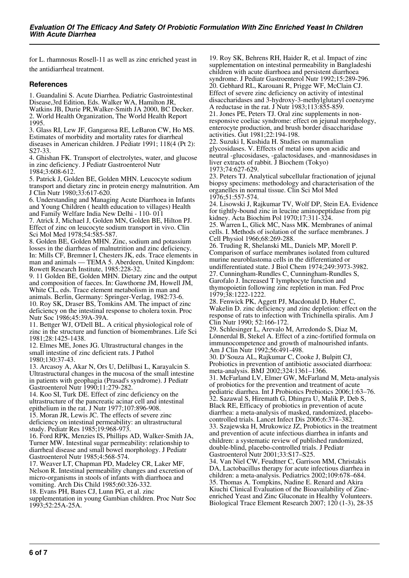for L. rhamnosus Rosell-11 as well as zinc enriched yeast in the antidiarrheal treatment.

#### **References**

1. Guandalini S. Acute Diarrhea. Pediatric Gastrointestinal Disease,3rd Edition, Eds. Walker WA, Hamilton JR,

Watkins JB, Durie PR,Walker-Smith JA 2000, BC Decker. 2. World Health Organization, The World Health Report 1995.

3. Glass RI, Lew JF, Gangarosa RE, LeBaron CW, Ho MS. Estimates of morbidity and mortality rates for diarrheal diseases in American children. J Pediatr 1991; 118(4 (Pt 2): S27-33.

4. Ghishan FK. Transport of electrolytes, water, and glucose in zinc deficiency. J Pediatr Gastroenterol Nutr 1984;3:608-612.

5. Patrick J, Golden BE, Golden MHN. Leucocyte sodium transport and dietary zinc in protein energy malnutrition. Am J Clin Nutr 1980;33:617-620.

6. Understanding and Managing Acute Diarrhoea in Infants and Young Children ( health education to villages) Health and Family Welfare India New Delhi - 110- 011 7. Atrick J, Michael J, Golden MN, Golden BE, Hilton PJ.

Effect of zinc on leucocyte sodium transport in vivo. Clin Sci Mol Med 1978;54:585-587.

8. Golden BE, Golden MHN. Zinc, sodium and potassium losses in the diarrheas of malnutrition and zinc deficiency. In: Mills CF, Bremner I, Chesters JK, eds. Trace elements in man and animals — TEMA 5. Aberdeen, United Kingdom: Rowett Research Institute, 1985:228-32.

9. 11 Golden BE, Golden MHN. Dietary zinc and the output and composition of faeces. In: Gawthorne JM, Howell JM, White CL, eds. Trace element metabolism in man and animals. Berlin, Germany: Springer-Verlag, 1982:73-6. 10. Roy SK, Draser BS, Tomkins AM. The impact of zinc deficiency on the intestinal response to cholera toxin. Proc

Nutr Soc 1986;45:39A-39A. 11. Bettger WJ, O'Dell BL. A critical physiological role of zinc in the structure and function of biomembranes. Life Sci 1981;28:1425-1438.

12. Elmes ME, Jones JG. Ultrastructural changes in the small intestine of zinc deficient rats. J Pathol 1980;130:37-43.

13. Arcasoy A, Akar N, Ors U, Delilbasi L, Karayalcin S. Ultrastructural changes in the mucosa of the small intestine in patients with geophagia (Prasad's syndrome). J Pediatr Gastroenterol Nutr 1990;11:279-282.

14. Koo SI, Turk DE. Effect of zinc deficiency on the ultrastructure of the pancreatic acinar cell and intestinal epithelium in the rat. J Nutr 1977;107:896-908.

15. Moran JR, Lewis JC. The effects of severe zinc deficiency on intestinal permeability: an ultrastructural study. Pediatr Res 1985;19:968-973.

16. Ford RPK, Menzies IS, Phillips AD, Walker-Smith JA, Turner MW. Intestinal sugar permeability: relationship to diarrheal disease and small bowel morphology. J Pediatr Gastroenterol Nutr 1985;4:568-574.

17. Weaver LT, Chapman PD, Madeley CR, Laker MF, Nelson R. Intestinal permeability changes and excretion of micro-organisms in stools of infants with diarrhoea and vomiting. Arch Dis Child 1985;60:326-332.

18. Evans PH, Bates CJ, Lunn PG, et al. zinc

supplementation in young Gambian children. Proc Nutr Soc 1993;52:25A-25A.

19. Roy SK, Behrens RH, Haider R, et al. Impact of zinc supplementation on intestinal permeability in Bangladeshi children with acute diarrhoea and persistent diarrhoea syndrome. J Pediatr Gastroenterol Nutr 1992;15:289-296. 20. Gebhard RL, Karouani R, Prigge WF, McClain CJ. Effect of severe zinc deficiency on activity of intestinal disaccharidases and 3-hydroxy-3-methylglutaryl coenzyme A reductase in the rat. J Nutr 1983;113:855-859. 21. Jones PE, Peters TJ. Oral zinc supplements in nonresponsive coeliac syndrome: effect on jejunal morphology, enterocyte production, and brush border disaccharidase activities. Gut 1981;22:194-198.

22. Suzuki I, Kushida H. Studies on mammalian glycosidases. V. Effects of metal ions upon acidic and neutral -glucosidases, -galactosidases, and -mannosidases in liver extracts of rabbit. J Biochem (Tokyo) 1973;74:627-629.

23. Peters TJ. Analytical subcellular fractionation of jejunal biopsy specimens: methodology and characterisation of the organelles in normal tissue. Clin Sci Mol Med 1976;51:557-574.

24. Lisowski J, Rajkumar TV, Wolf DP, Stein EA. Evidence for tightly-bound zinc in leucine aminopeptidase from pig kidney. Acta Biochim Pol 1970;17:311-324.

25. Warren L, Glick MC, Nass MK. Membranes of animal cells. I. Methods of isolation of the surface membranes. J Cell Physiol 1966;68:269-288.

26. Truding R, Shelanski ML, Daniels MP, Morell P. Comparison of surface membranes isolated from cultured murine neuroblastoma cells in the differentiated or undifferentiated state. J Biol Chem 1974;249:3973-3982. 27. Cunningham-Rundles C, Cunningham-Rundles S, Garofalo J. Increased T lymphocyte function and thymopoietin following zinc repletion in man. Fed Proc 1979;38:1222-1222.

28. Fenwick PK, Aggett PJ, Macdonald D, Huber C, Wakelin D. zinc deficiency and zinc depletion: effect on the response of rats to infection with Trichinella spiralis. Am J Clin Nutr 1990; 52:166-172.

29. Schlesinger L, Arevalo M, Arredondo S, Diaz M, Lönnerdal B, Stekel A. Effect of a zinc-fortified formula on immunocompetence and growth of malnourished infants. Am J Clin Nutr 1992;56:491-498.

30. D'Souza AL, Rajkumar C, Cooke J, Bulpitt CJ, Probiotics in prevention of antibiotic associated diarrhoea: meta-analysis. BMJ 2002;324:1361–1366.

31. McFarland LV, Elmer GW, McFarland M, Meta-analysis of probiotics for the prevention and treatment of acute pediatric diarrhea. Int J Probiotics Prebiotics 2006;1:63–76. 32. Sazawal S, Hiremath G, Dhingra U, Malik P, Deb S, Black RE, Efficacy of probiotics in prevention of acute diarrhea: a meta-analysis of masked, randomized, placebocontrolled trials. Lancet Infect Dis 2006;6:374–382. 33. Szajewska H, Mrukowicz JZ, Probiotics in the treatment and prevention of acute infectious diarrhea in infants and children: a systematic review of published randomized, double-blind, placebo-controlled trials. J Pediatr Gastroenterol Nutr 2001;33:S17–S25.

34. Van Niel CW, Feudtner C, Garrison MM, Christakis DA, Lactobacillus therapy for acute infectious diarrhea in children: a meta-analysis. Pediatrics 2002;109:678–684. 35. Thomas A. Tompkins, Nadine E. Renard and Akira Kiuchi Clinical Evaluation of the Bioavailability of Zincenriched Yeast and Zinc Gluconate in Healthy Volunteers. Biological Trace Element Research 2007; 120 (1-3), 28-35